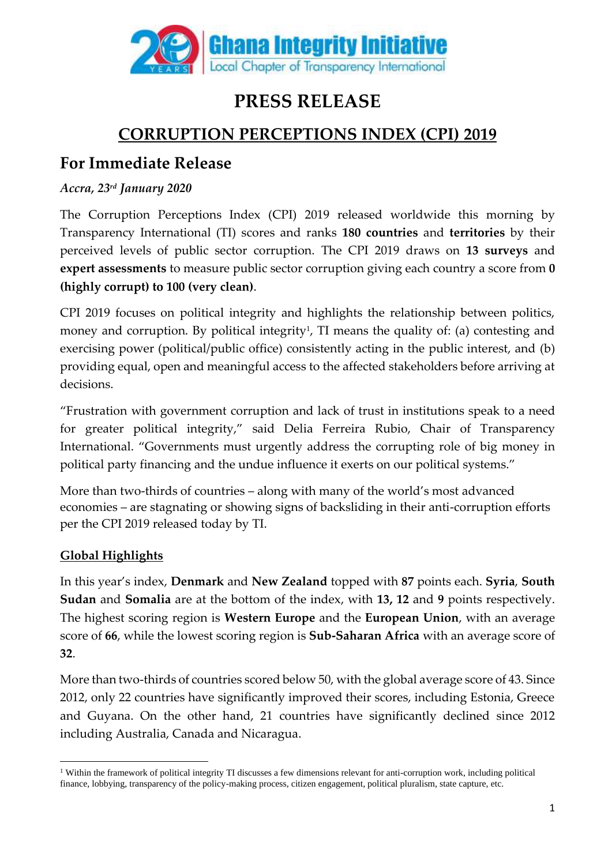

# **PRESS RELEASE**

## **CORRUPTION PERCEPTIONS INDEX (CPI) 2019**

### **For Immediate Release**

#### *Accra, 23 rd January 2020*

The Corruption Perceptions Index (CPI) 2019 released worldwide this morning by Transparency International (TI) scores and ranks **180 countries** and **territories** by their perceived levels of public sector corruption. The CPI 2019 draws on **13 surveys** and **expert assessments** to measure public sector corruption giving each country a score from **0 (highly corrupt) to 100 (very clean)**.

CPI 2019 focuses on political integrity and highlights the relationship between politics, money and corruption. By political integrity<sup>1</sup>, TI means the quality of: (a) contesting and exercising power (political/public office) consistently acting in the public interest, and (b) providing equal, open and meaningful access to the affected stakeholders before arriving at decisions.

"Frustration with government corruption and lack of trust in institutions speak to a need for greater political integrity," said Delia Ferreira Rubio, Chair of Transparency International. "Governments must urgently address the corrupting role of big money in political party financing and the undue influence it exerts on our political systems."

More than two-thirds of countries – along with many of the world's most advanced economies – are stagnating or showing signs of backsliding in their anti-corruption efforts per the CPI 2019 released today by TI.

### **Global Highlights**

In this year's index, **Denmark** and **New Zealand** topped with **87** points each. **Syria**, **South Sudan** and **Somalia** are at the bottom of the index, with **13, 12** and **9** points respectively. The highest scoring region is **Western Europe** and the **European Union**, with an average score of **66**, while the lowest scoring region is **Sub-Saharan Africa** with an average score of **32**.

More than two-thirds of countries scored below 50, with the global average score of 43. Since 2012, only 22 countries have significantly improved their scores, including Estonia, Greece and Guyana. On the other hand, 21 countries have significantly declined since 2012 including Australia, Canada and Nicaragua.

<sup>&</sup>lt;sup>1</sup> Within the framework of political integrity TI discusses a few dimensions relevant for anti-corruption work, including political finance, lobbying, transparency of the policy-making process, citizen engagement, political pluralism, state capture, etc.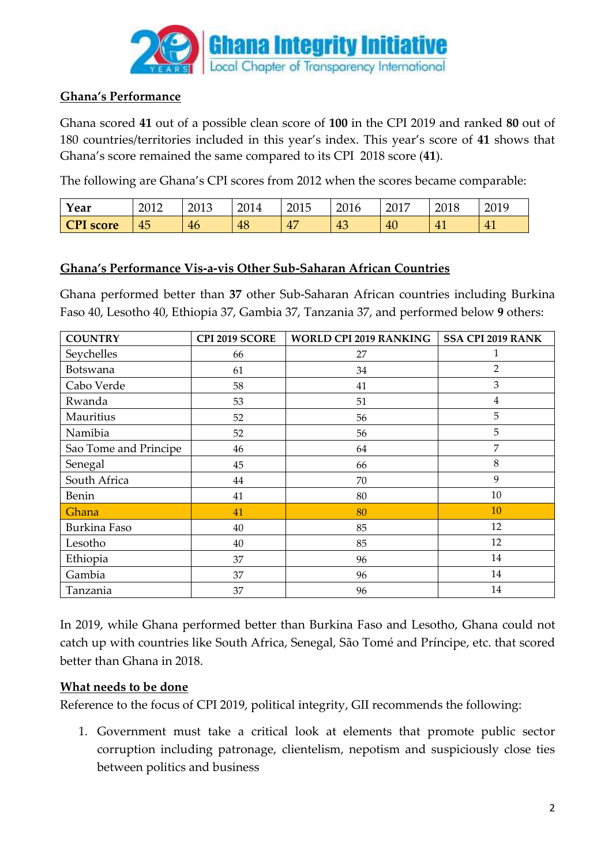

#### **Ghana's Performance**

Ghana scored **41** out of a possible clean score of **100** in the CPI 2019 and ranked **80** out of 180 countries/territories included in this year's index. This year's score of **41** shows that Ghana's score remained the same compared to its CPI 2018 score (**41**).

The following are Ghana's CPI scores from 2012 when the scores became comparable:

| Year             | 2012 | 2013 | 2014 | 2015             | 2016      | 2017 | 2018 | 2019 |
|------------------|------|------|------|------------------|-----------|------|------|------|
| <b>CPI</b> score | 45   | 46   | 48   | $\Lambda$<br>$+$ | 4 C<br>40 | 40   | 41   | 41   |

#### **Ghana's Performance Vis-a-vis Other Sub-Saharan African Countries**

Ghana performed better than **37** other Sub-Saharan African countries including Burkina Faso 40, Lesotho 40, Ethiopia 37, Gambia 37, Tanzania 37, and performed below **9** others:

| <b>COUNTRY</b>        | CPI 2019 SCORE | <b>WORLD CPI 2019 RANKING</b> | <b>SSA CPI 2019 RANK</b> |  |
|-----------------------|----------------|-------------------------------|--------------------------|--|
| Seychelles            | 66             | 27                            | 1                        |  |
| Botswana              | 61             | 34                            | $\overline{2}$           |  |
| Cabo Verde            | 58             | 41                            | 3                        |  |
| Rwanda                | 53             | 51                            | $\overline{4}$           |  |
| Mauritius             | 52             | 56                            | 5                        |  |
| Namibia               | 52             | 56                            | 5                        |  |
| Sao Tome and Principe | 46             | 64                            | $\overline{7}$           |  |
| Senegal               | 45             | 66                            | $\,8\,$                  |  |
| South Africa          | 44             | 70                            | 9                        |  |
| <b>Benin</b>          | 41             | 80                            | 10                       |  |
| Ghana                 | 41             | 80                            | 10                       |  |
| Burkina Faso          | 40             | 85                            | 12                       |  |
| Lesotho               | 40             | 85                            | 12                       |  |
| Ethiopia              | 37             | 96                            | 14                       |  |
| Gambia                | 37             | 96                            | 14                       |  |
| Tanzania              | 37             | 96                            | 14                       |  |

In 2019, while Ghana performed better than Burkina Faso and Lesotho, Ghana could not catch up with countries like South Africa, Senegal, São Tomé and Príncipe, etc. that scored better than Ghana in 2018.

#### **What needs to be done**

Reference to the focus of CPI 2019, political integrity, GII recommends the following:

1. Government must take a critical look at elements that promote public sector corruption including patronage, clientelism, nepotism and suspiciously close ties between politics and business